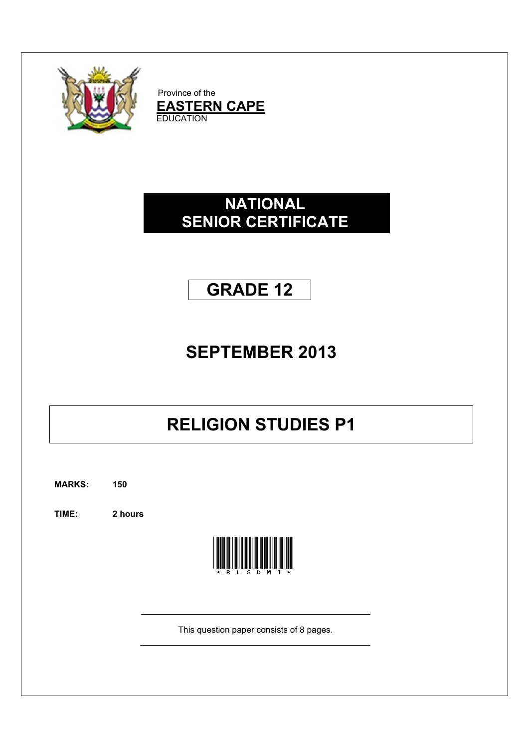

Province of the  $$ **EDUCATION** 

### **S SENIOR R CER TIFICA ATE NATIONAL**

# **GR RADE 1 12**

# **SEPT EMBE ER 201 3**

# **RELIGION STUDIES P1**

**MARKS: 150**

**TIME: 2 hours s**



This question paper consists of 8 pages.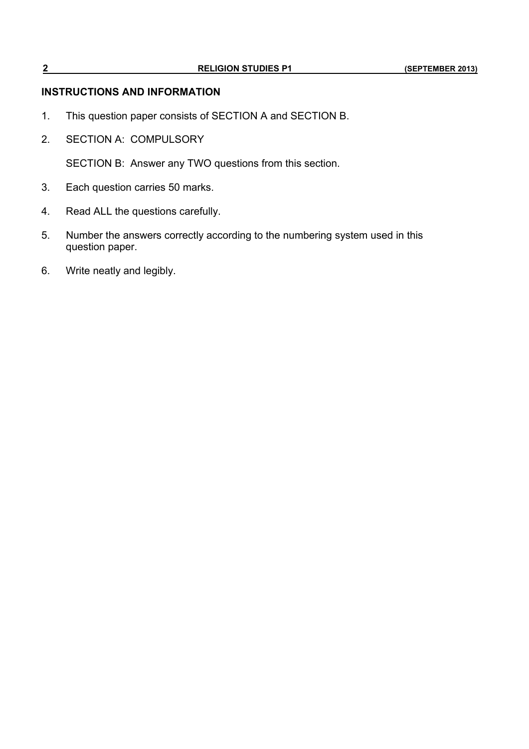#### **INSTRUCTIONS AND INFORMATION**

- 1. This question paper consists of SECTION A and SECTION B.
- 2. SECTION A: COMPULSORY

SECTION B: Answer any TWO questions from this section.

- 3. Each question carries 50 marks.
- 4. Read ALL the questions carefully.
- 5. Number the answers correctly according to the numbering system used in this question paper.
- 6. Write neatly and legibly.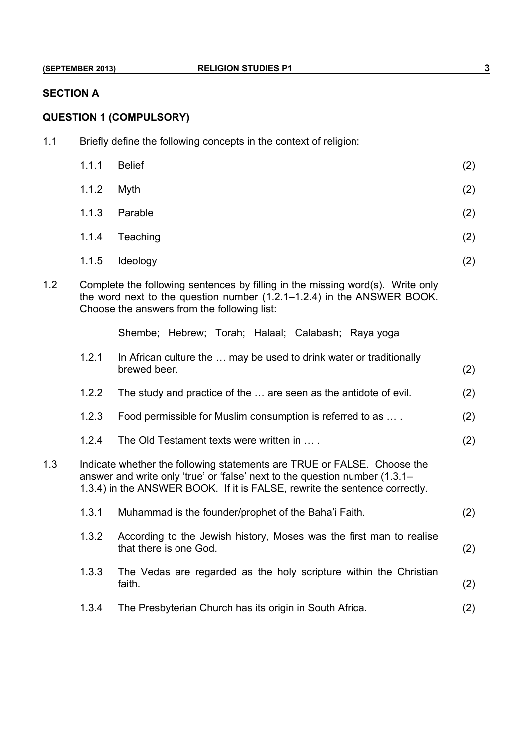#### **SECTION A**

#### **QUESTION 1 (COMPULSORY)**

1.1 Briefly define the following concepts in the context of religion:

| 1.1.1 | <b>Belief</b> | (2) |
|-------|---------------|-----|
| 1.1.2 | Myth          | (2) |
| 1.1.3 | Parable       | (2) |
| 1.1.4 | Teaching      | (2) |
| 1.1.5 | Ideology      | (2) |

1.2 Complete the following sentences by filling in the missing word(s). Write only the word next to the question number (1.2.1–1.2.4) in the ANSWER BOOK. Choose the answers from the following list:

|     |                                                                                                                                                                                                                                      | Shembe; Hebrew; Torah; Halaal; Calabash;<br>Raya yoga                                         |     |
|-----|--------------------------------------------------------------------------------------------------------------------------------------------------------------------------------------------------------------------------------------|-----------------------------------------------------------------------------------------------|-----|
|     | 1.2.1                                                                                                                                                                                                                                | In African culture the  may be used to drink water or traditionally<br>brewed beer.           | (2) |
|     | 1.2.2                                                                                                                                                                                                                                | The study and practice of the  are seen as the antidote of evil.                              | (2) |
|     | 1.2.3                                                                                                                                                                                                                                | Food permissible for Muslim consumption is referred to as                                     | (2) |
|     | 1.2.4                                                                                                                                                                                                                                | The Old Testament texts were written in                                                       | (2) |
| 1.3 | Indicate whether the following statements are TRUE or FALSE. Choose the<br>answer and write only 'true' or 'false' next to the question number (1.3.1–<br>1.3.4) in the ANSWER BOOK. If it is FALSE, rewrite the sentence correctly. |                                                                                               |     |
|     | 1.3.1                                                                                                                                                                                                                                | Muhammad is the founder/prophet of the Baha'i Faith.                                          | (2) |
|     | 1.3.2                                                                                                                                                                                                                                | According to the Jewish history, Moses was the first man to realise<br>that there is one God. | (2) |
|     | 1.3.3                                                                                                                                                                                                                                | The Vedas are regarded as the holy scripture within the Christian<br>faith.                   | (2) |
|     | 1.3.4                                                                                                                                                                                                                                | The Presbyterian Church has its origin in South Africa.                                       | (2) |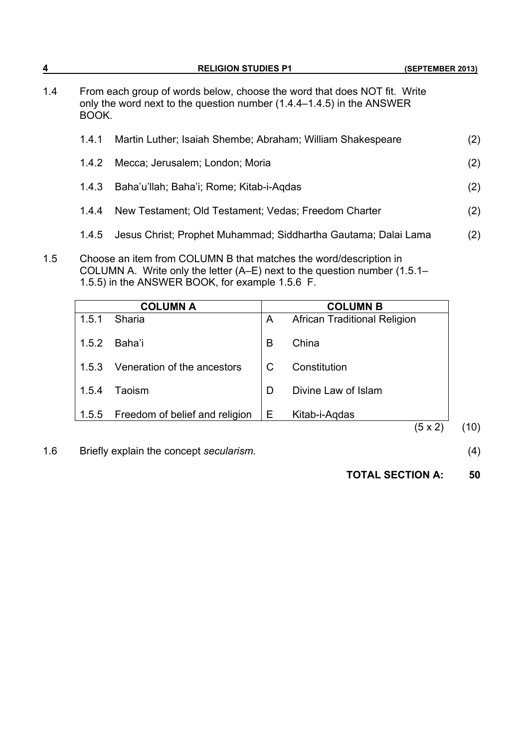| 4   |                                                                                                                                                            | <b>RELIGION STUDIES P1</b>                                        |     |  |
|-----|------------------------------------------------------------------------------------------------------------------------------------------------------------|-------------------------------------------------------------------|-----|--|
| 1.4 | From each group of words below, choose the word that does NOT fit. Write<br>only the word next to the question number (1.4.4–1.4.5) in the ANSWER<br>BOOK. |                                                                   |     |  |
|     | 1.4.1                                                                                                                                                      | Martin Luther; Isaiah Shembe; Abraham; William Shakespeare        | (2) |  |
|     | 1.4.2                                                                                                                                                      | Mecca; Jerusalem; London; Moria                                   | (2) |  |
|     | 1.4.3                                                                                                                                                      | Baha'u'llah; Baha'i; Rome; Kitab-i-Aqdas                          | (2) |  |
|     | 1.4.4                                                                                                                                                      | New Testament; Old Testament; Vedas; Freedom Charter              | (2) |  |
|     | 1.4.5                                                                                                                                                      | Jesus Christ; Prophet Muhammad; Siddhartha Gautama; Dalai Lama    | (2) |  |
| 1.5 |                                                                                                                                                            | Choose an item from COLUMN B that matches the word/description in |     |  |

COLUMN A. Write only the letter (A–E) next to the question number (1.5.1– 1.5.5) in the ANSWER BOOK, for example 1.5.6 F.

|       | <b>COLUMN A</b>                |   | <b>COLUMN B</b>                     |
|-------|--------------------------------|---|-------------------------------------|
| 1.5.1 | Sharia                         | A | <b>African Traditional Religion</b> |
| 1.5.2 | Baha'i                         | B | China                               |
| 1.5.3 | Veneration of the ancestors    | C | Constitution                        |
| 1.5.4 | Taoism                         | D | Divine Law of Islam                 |
| 1.5.5 | Freedom of belief and religion | Е | Kitab-i-Aqdas                       |
|       |                                |   | $(5 \times 2)$                      |

1.6 Briefly explain the concept *secularism.* (4)

**TOTAL SECTION A: 50**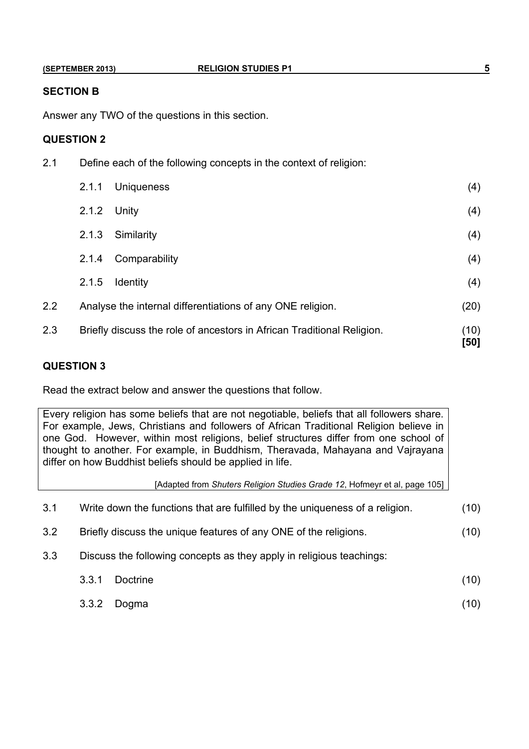#### **SECTION B**

Answer any TWO of the questions in this section.

#### **QUESTION 2**

| 2.1 | Define each of the following concepts in the context of religion: |                                                                        |              |  |
|-----|-------------------------------------------------------------------|------------------------------------------------------------------------|--------------|--|
|     | 2.1.1                                                             | <b>Uniqueness</b>                                                      | (4)          |  |
|     | 2.1.2                                                             | Unity                                                                  | (4)          |  |
|     | 2.1.3                                                             | Similarity                                                             | (4)          |  |
|     | 2.1.4                                                             | Comparability                                                          | (4)          |  |
|     | 2.1.5                                                             | <b>Identity</b>                                                        | (4)          |  |
| 2.2 | Analyse the internal differentiations of any ONE religion.        | (20)                                                                   |              |  |
| 2.3 |                                                                   | Briefly discuss the role of ancestors in African Traditional Religion. | (10)<br>[50] |  |

#### **QUESTION 3**

Read the extract below and answer the questions that follow.

Every religion has some beliefs that are not negotiable, beliefs that all followers share. For example, Jews, Christians and followers of African Traditional Religion believe in one God. However, within most religions, belief structures differ from one school of thought to another. For example, in Buddhism, Theravada, Mahayana and Vajrayana differ on how Buddhist beliefs should be applied in life.

[Adapted from *Shuters Religion Studies Grade 12*, Hofmeyr et al, page 105]

| 3.1 | Write down the functions that are fulfilled by the uniqueness of a religion. | (10) |  |
|-----|------------------------------------------------------------------------------|------|--|
| 3.2 | Briefly discuss the unique features of any ONE of the religions.             | (10) |  |
| 3.3 | Discuss the following concepts as they apply in religious teachings:         |      |  |
|     | 3.3.1<br>Doctrine                                                            | (10) |  |
|     |                                                                              |      |  |

3.3.2 Dogma (10)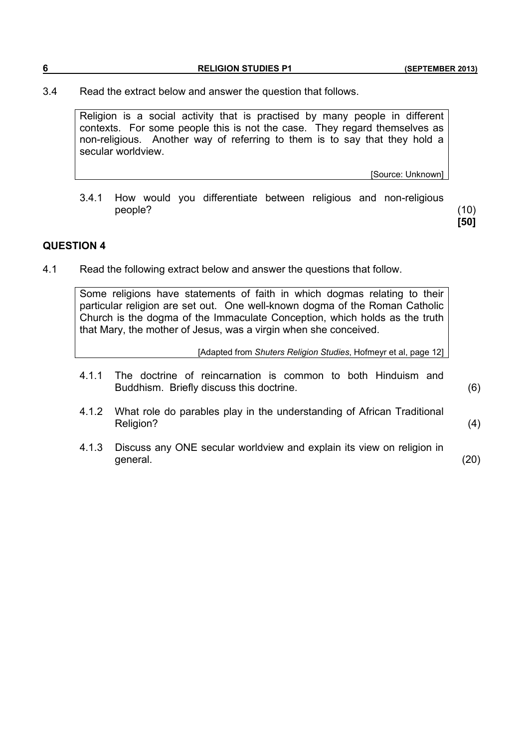**6 RELIGION STUDIES P1 (SEPTEMBER 2013)**

3.4 Read the extract below and answer the question that follows.

 Religion is a social activity that is practised by many people in different contexts. For some people this is not the case. They regard themselves as non-religious. Another way of referring to them is to say that they hold a secular worldview.

[Source: Unknown]

 3.4.1 How would you differentiate between religious and non-religious people? (10)

**[50]**

#### **QUESTION 4**

4.1 Read the following extract below and answer the questions that follow.

 Some religions have statements of faith in which dogmas relating to their particular religion are set out. One well-known dogma of the Roman Catholic Church is the dogma of the Immaculate Conception, which holds as the truth that Mary, the mother of Jesus, was a virgin when she conceived.

[Adapted from *Shuters Religion Studies*, Hofmeyr et al, page 12]

 4.1.1 The doctrine of reincarnation is common to both Hinduism and Buddhism. Briefly discuss this doctrine. (6)

- 4.1.2 What role do parables play in the understanding of African Traditional Religion? (4)
- 4.1.3 Discuss any ONE secular worldview and explain its view on religion in general. (20)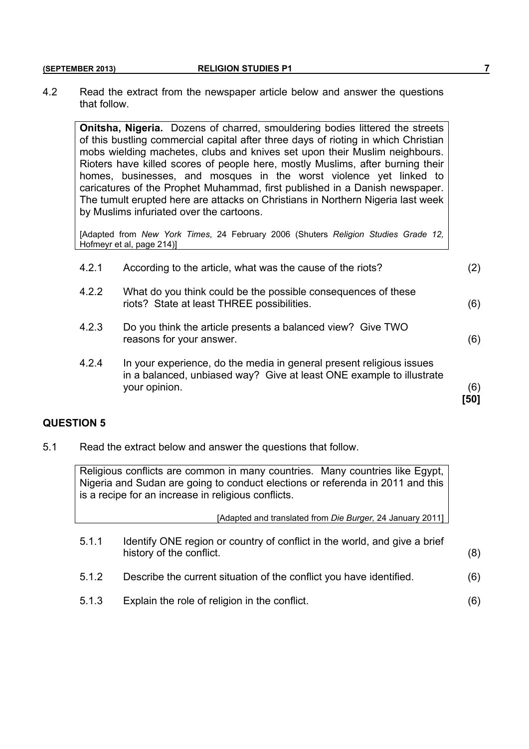#### **(SEPTEMBER 2013) RELIGION STUDIES P1** *RELIGION STUDIES P1*

4.2 Read the extract from the newspaper article below and answer the questions that follow.

**Onitsha, Nigeria.** Dozens of charred, smouldering bodies littered the streets of this bustling commercial capital after three days of rioting in which Christian mobs wielding machetes, clubs and knives set upon their Muslim neighbours. Rioters have killed scores of people here, mostly Muslims, after burning their homes, businesses, and mosques in the worst violence yet linked to caricatures of the Prophet Muhammad, first published in a Danish newspaper. The tumult erupted here are attacks on Christians in Northern Nigeria last week by Muslims infuriated over the cartoons.

[Adapted from *New York Times*, 24 February 2006 (Shuters *Religion Studies Grade 12,* Hofmeyr et al, page 214)]

| 4.2.1 | According to the article, what was the cause of the riots?                                                                                                    | (2)         |
|-------|---------------------------------------------------------------------------------------------------------------------------------------------------------------|-------------|
| 4.2.2 | What do you think could be the possible consequences of these<br>riots? State at least THREE possibilities.                                                   | (6)         |
| 4.2.3 | Do you think the article presents a balanced view? Give TWO<br>reasons for your answer.                                                                       | (6)         |
| 4.2.4 | In your experience, do the media in general present religious issues<br>in a balanced, unbiased way? Give at least ONE example to illustrate<br>your opinion. | (6)<br>[50] |

#### **QUESTION 5**

5.1 Read the extract below and answer the questions that follow.

 Religious conflicts are common in many countries. Many countries like Egypt, Nigeria and Sudan are going to conduct elections or referenda in 2011 and this is a recipe for an increase in religious conflicts.

[Adapted and translated from *Die Burger,* 24 January 2011]

- 5.1.1 Identify ONE region or country of conflict in the world, and give a brief history of the conflict. (8)
- 5.1.2 Describe the current situation of the conflict you have identified. (6)
- 5.1.3 Explain the role of religion in the conflict. (6)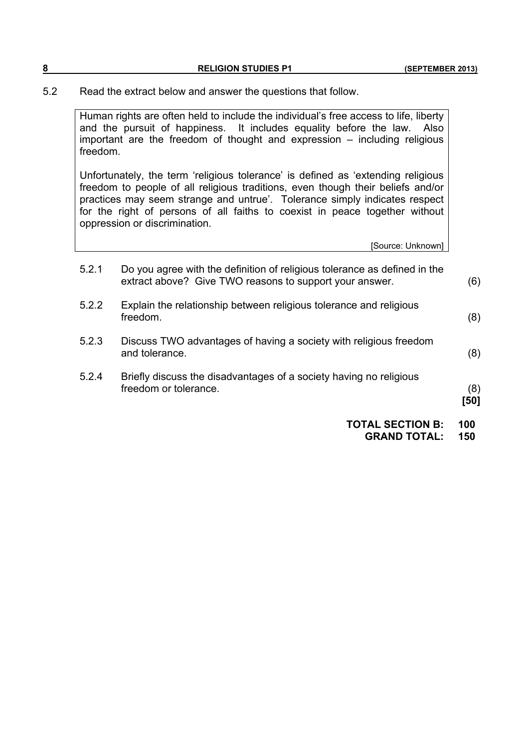| $\bullet$<br>O | <b>RELIGION STUDIES P1</b> | (SEPTEMBER 2013) |
|----------------|----------------------------|------------------|
|                |                            |                  |

5.2 Read the extract below and answer the questions that follow.

 Human rights are often held to include the individual's free access to life, liberty and the pursuit of happiness. It includes equality before the law. Also important are the freedom of thought and expression – including religious freedom.

Unfortunately, the term 'religious tolerance' is defined as 'extending religious freedom to people of all religious traditions, even though their beliefs and/or practices may seem strange and untrue'. Tolerance simply indicates respect for the right of persons of all faiths to coexist in peace together without oppression or discrimination.

[Source: Unknown]

|       | <b>TOTAL SECTION B:</b><br><b>GRAND TOTAL:</b>                                                                                       | 100<br>150  |
|-------|--------------------------------------------------------------------------------------------------------------------------------------|-------------|
| 5.2.4 | Briefly discuss the disadvantages of a society having no religious<br>freedom or tolerance.                                          | (8)<br>[50] |
| 5.2.3 | Discuss TWO advantages of having a society with religious freedom<br>and tolerance.                                                  | (8)         |
| 5.2.2 | Explain the relationship between religious tolerance and religious<br>freedom.                                                       | (8)         |
| 5.2.1 | Do you agree with the definition of religious tolerance as defined in the<br>extract above? Give TWO reasons to support your answer. | (6)         |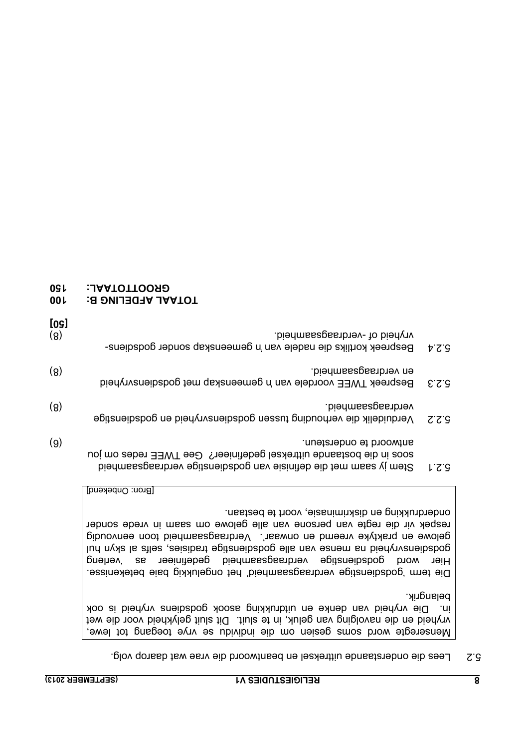5.2 Lees die onderstaande uittreksel en beantwoord die vrae wat daarop volg.

 Menseregte word soms gesien om die individu se vrye toegang tot lewe, vryheid en die navolging van geluk, in te sluit. Dit sluit gelykheid voor die wet in. Die vryheid van denke en uitdrukking asook godsdiens vryheid is ook belangrik.

Die term 'godsdienstige verdraagsaamheid' het ongelukkig baie betekenisse. Hier word godsdienstige verdraagsaamheid gedefinieer as 'verleng godseis van die van die van die doesnige tradisions in die styn pul gelowe en praktyke vreemd en onwaar'. Verdraagsaamheid toon eenvoudig respek vir die regte van persone van alle gelowe om saam in vrede sonder onderdrukking en diskriminasie, voort te bestaan.

[Bron: Onbekend]

- 5.2.1 Stem jy saam met die definisie van godsdienstige verdraagsaamheid soos in die bostaande uittreksel gedefinieer? Gee TWEE redes om jou antwoord te ondersteun. (6)
- 5.2.2 Verduidelik die verhouding tussen godsdienvryheid en godsdienstige verdraagsaamheid. (8)
- 5.2.3 Bespreek TWEE voordele van 'n gemeenskap met godsdiensvryheid en verdraagsaamheid. (8)
- 5.2.4 Bespreek kortliks die nadele van 'n gemeenskap sonder godsdiensvryheid of -verdraagsaamheid. (8) **[50]**
- **100 TOTAAL AFDELING B:**
- **GROOTTOTAAL: 150**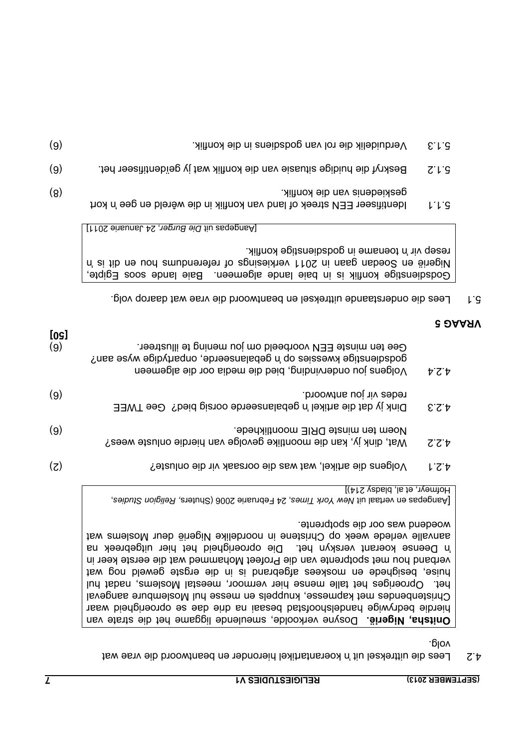|  | EPTEMBER 2013) | IS) |
|--|----------------|-----|

4.2 Lees die uittreksel uit 'n koerantartikel hieronder en beantwoord die vrae wat volg.

**Dnitsha, Nigerië.** Dosyne verkoolde, smeulende liggame het die strate van hierdie bedrywige handelshoofstad besaai na drie dae se oproerigheid waar Christenbendes met kapmesse, knuppels en messe hul Moslembure aangeval het. Oproeriges het talle mense hier vermoor, meestal Moslems, nadat hul huise, besighede en moskees afgebrand is in die ergste geweld nog wat verband hou met spotprente van die Profeet Mohammed wat die eerste keer in in Deense koerant verskyn het. Die oproerigheid het hier uitgebreek na aanvalle verlede week op Christene in noordelike Nigerië deur Moslems wat woedend was oor die spotprente.

Pangepas en vertaal uit New York Times, 24 Februarie 2006 (Shuters, Religion Studies, Hofmeyr, et al, bladsy 214)]

| [09]<br>(9) | Gee ten minste EEN voorbeeld om jou mening te illustreer.<br>godsdienstige kwessies op 'n gebalanseerde, onpartydige wyse aan?<br>Volgens jou ondervinding, bied die media oor die algemeen | 4.2.4 |
|-------------|---------------------------------------------------------------------------------------------------------------------------------------------------------------------------------------------|-------|
| (9)         | redes vir jou antwoord.<br>Dink jy dat die artikel 'n gebalanseerde oorsig bied? Gee TWEE                                                                                                   | 5.5.4 |
| (9)         | Noem ten minste DRIE moontlikhede.<br>Wat, dink jy, kan die moontlike gevolge van hierdie onluste wees?                                                                                     | ZZ    |
| (5)         | Yolgens die artikel, wat was die oorsaak vir die onluste?                                                                                                                                   | してヤ   |

#### **VRAAG 5**

5.1 Lees die onderstaande uittreksel en beantwoord die vrae wat daarop volg.

Godsdienstige konflik is in baie lande algemeen. Baie lande soos Egipte, 'n Nigerië en Soedan gaan in 2011 verkiesings of referendums hou en dit is teseb vir 'n toename in godsdienstige konflik.

kort 'n 5.1.1 Identifiseer EEN streek of land van konflik in die wêreld en gee

[Aangepas uit Die Burger, 24 Januarie 2011]

- geskiedenis van die konflik. (8)
- 5.1.2 Beskryf die huidige situasie van die konflik wat jy geïdentifiseer het. (6)
- 5.1.3 Verduidelik die rol van godsdiens in die konflik. (6)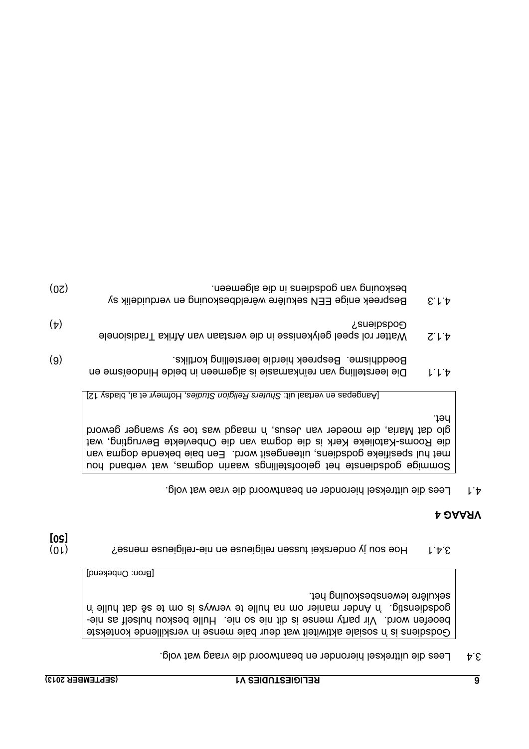3.4 Lees die uittreksel hieronder en beantwoord die vraag wat volg.

Godsdiens is 'n eilaste sktiwiteit wat deur baie mense in verskillende kontekste beoefen word. Vir party mense is dir hie os ein tie beskou hulself as niegodstig. 'n Ander manier mo na hulle te verwys is om te sê dat hulle 'n sekulêre lewensbeskouing het.

[Bron: Onbekend]

1.4.1 Ide son jy onderskei tussen religieuse en nie-religieuse mense?<br>3.4.1 <br/> **[50]**

#### **VRAAG 4**

Lees die uittreksel hieronder en beantwoord die vrae wat volg. 4.1

Sommige godsienste het geloofstellings waarin dogmas, wat verband hou met hul spesifieke godsdiens, uiteengesit word. Een baie bekende dogma van die Rooms-Katolieke Kerk is die dogma van die Onbevlekte Bevrugting, wat glo dat Maria, die moeder van Jesus, 'n maagd was toe sy swanger geword het.

[Aangepas en vertaal uit: Shuters Religion Studies, Hofmeyr et al, bladsy 12]

- 4.1.1 Die leerstelling van reïnkarnasie is algemeen in beide Hindoeïsme en Boeddhisme. Bespreek hierdie leerstelling kortliks. (6)
- 4.1.2 Watter rol speel gelykenisse in die verstaan van Afrika Tradisionele Godsdiens? (4)
- 4.1.3 Bespreek enige EEN sekulêre wêreldbeskouing en verduidelik sy beskouing van godsdiens in die algemeen. (20)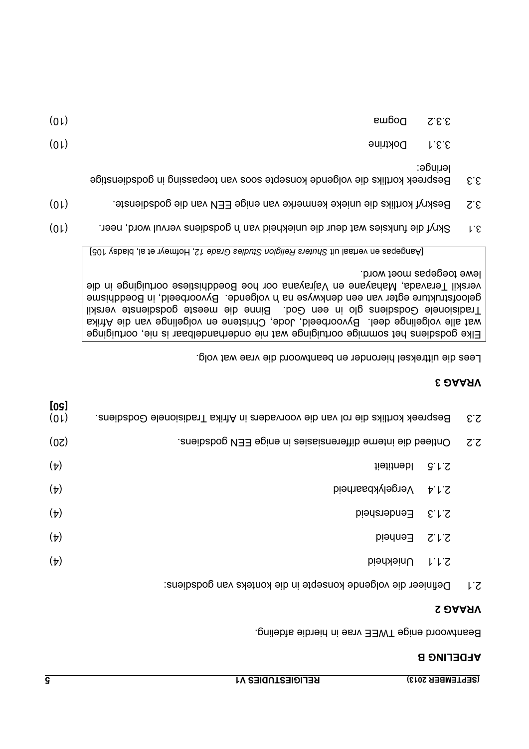|  |  | SEPTEMBER 2013) |  |
|--|--|-----------------|--|

#### **AFDELING B**

Beantwoord enige TWEE vrae in hierdie afdeling.

#### **VRAAG 2**

Definieer die volgende konsepte in die konteks van godsdiens: 2.1

| (01)              | Bespreek kortliks die rol van die voorvaders in Afrika Tradisionele Godsdiens. |                                                                             | $\mathcal{E}$ . $\mathcal{S}$ |  |
|-------------------|--------------------------------------------------------------------------------|-----------------------------------------------------------------------------|-------------------------------|--|
| (0 <sub>S</sub> ) |                                                                                | Ontleed die interne differensiasies in enige EEN godschens.<br>$Z^{\cdot}Z$ |                               |  |
| $(\nu)$           | liətitnəbl                                                                     | 5.1.5                                                                       |                               |  |
| $(\tau)$          | <b>Dierrically Netwould</b>                                                    |                                                                             |                               |  |
| $(\tau)$          | Eendersheid                                                                    | E.L.S                                                                       |                               |  |
| $(\nu)$           | Eenheid                                                                        | ていて                                                                         |                               |  |
| $(\tau)$          | <b>Uniekheid</b>                                                               | ししこ                                                                         |                               |  |

#### **VRAAG 3**

Lees die uittreksel hieronder en beantwoord die vrae wat volg.

Elke godsdiens het sommige oortuiginge wat nie onderhandelbaar is nie, oortuiginge wat alle volgelinge deel. Byvoorbeeld, Jode, Christene en volgelinge van die Afrika Tradisionele Godsiens glo in een God. Binne die meeste godsdienste verskil geloofstrukture egter van een denkwyse na 'n volgende. Byvoorbeeld, in Boeddhisme verskil Teravada, Mahayane en Vajrayana oor hoe Boeddhistiese oortuiginge in die lewe toegepas moet word.

[301 yabid is blads] in the studies Religion Studies Grade 12, homeyr et al, bladsy religion

- $3.1$  Skryf die funksies wat deur die uniekheid van 'n godsdiens vervul word, neer.
- Beskryf kortliks die unieke kenmerke van enige EEN van die godsdienste. (10) 3.2
- 3.3 Bespreek kortliks die volgende konsepte soos van toepassing in godsdienstige leringe:

| (01) | 3.3.1 Doktrine |  |
|------|----------------|--|

3.3.2 Dogma (10)

**[50]**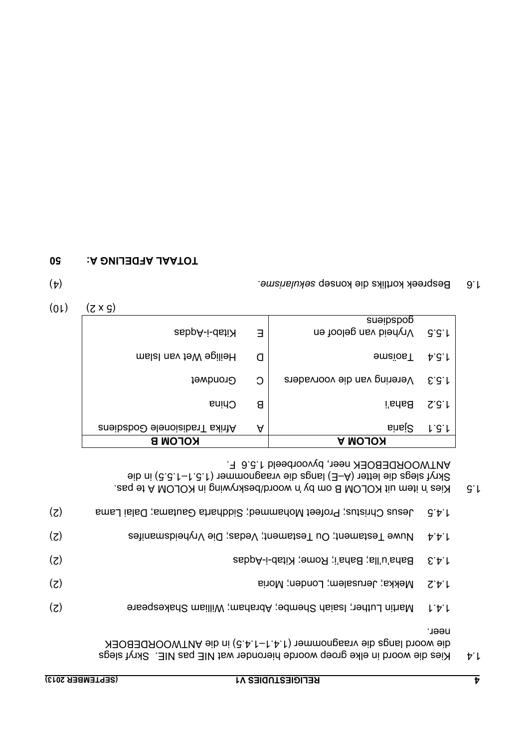| (SEPTEM <u>BER 2</u> 013) | <b>RELIGIESTUDIES V1</b>                                                                                                                         | v                       |
|---------------------------|--------------------------------------------------------------------------------------------------------------------------------------------------|-------------------------|
|                           | die woord langs die vraagnommer (1.4.1–1.4.5) in die ANTWOORDEBOEK<br>Kies die woord in elke groep woorde hieronder wat NIE pas NIE. Skryf slegs | neer.<br>$\nabla \cdot$ |
| (5)                       | Martin Luther; Isaiah Shembe; Abraham; William Shakespeare                                                                                       | じせし                     |
| (5)                       | Mekka; Jerusalem; Londen; Moria<br>てせし                                                                                                           |                         |
| (5)                       | Baha'u'lla; Baha'i; Rome; Kitab-i-Aqdas<br>271                                                                                                   |                         |
| (z)                       | Nuwe Testament; Ou Testament; Vedas; Die Vryheidsmanifes<br>ササレ                                                                                  |                         |

1.4.5 Jesus Christus; Profeet Mohammed; Siahaha Gautama; Dalai Lama

1.5 Wies in the muit KOLOM B om by in woord/beskrywing in KOLOM A te pas. Skryf slegs die letter (A–E) langs die vraagnommer (1.5.1–1.5.5) in die ANTWOORDEBOEK neer, byvoorbeeld 1.5.6 F.

| <b>KOLOMB</b>                      |   | <b>KOLOM A</b>                     |                        |
|------------------------------------|---|------------------------------------|------------------------|
| <b>Afrika Tradisionele Godship</b> | A | sinsi <sup>2</sup>                 | 1.5.1                  |
| China                              | 8 | <b>Baha'i</b>                      | S.G.M                  |
| Grondwet                           | C | Verering van die voorvaders        | E.G.I                  |
| mslal nsv teW spilieH              | O | <b>Jaoisme</b>                     | $\forall S \downarrow$ |
| Ritab-i-dati                       | Е | sueipspob<br>Nryheid van geloof en | G.G.f                  |

 $(01)$ 

1.6 Bespreek kortliks die konsep sekularisme.<br>
And Bespreek konsep sekularisme.

#### **TOTAAL AFDELING A: 50**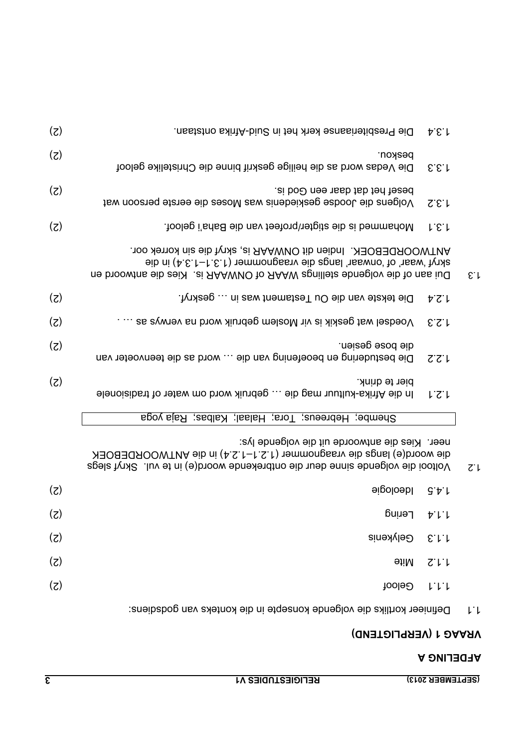|              | 5.5.1                   | Die Vedas word as die heilige geskrif binne die Christelike geloof                                                                                                                                               |     |
|--------------|-------------------------|------------------------------------------------------------------------------------------------------------------------------------------------------------------------------------------------------------------|-----|
|              | Z.E.L                   | besef het dat daar een God is.<br>Volgens die Joodse geskiedenis was Moses die eerste persoon wat                                                                                                                | (5) |
|              | L.E.f                   | Mohammed is die stigter/profeet van die Baha'i geloof.                                                                                                                                                           | (z) |
| $E \cdot L$  |                         | ANTWOORDEBOEK. Indien dit ONWAAR is, skryf die sin korrek oor.<br>skryf 'waar' of 'onwaar' langs dib agnommer (1.3.1−1.3.4) in die<br>ne broowtns eib zeiX . zi AAAWVO to AAAW zgnilletz ebneglov eib to nss iuQ |     |
|              | 7.2.4                   | Die tekste van die Ou Testament was in  geskryf.                                                                                                                                                                 | (5) |
|              | 2.3                     | Voedsel wat geskik is vir Moslem gebruik word na verwys as  .                                                                                                                                                    | (5) |
|              | ZZ'L                    | die bose gesien.<br>Die bestudering en beoefening van die  word as die teenvoeter van                                                                                                                            | (5) |
|              | 1.2.1                   | bier te drink.<br>Ho die Afrika-kultuur mag die  gebruik word om water of tradisionele                                                                                                                           | (5) |
|              |                         | Shembe; Hebreeus; Tora; Halaal; Kalbas; Raja yoga                                                                                                                                                                |     |
| $Z^{\prime}$ |                         | neer. Kies die antwoorde uit die volgende lys:<br>die woord(e) langs die vraagnommer (1.2.1–1.2.4) in die ANTWOORDEBOEK<br>Voltooi die volgende sinne deur die ontbrekende woord(e) in te vul. Skryf slegs       |     |
|              | 9.5.1                   | <b>Heologie</b>                                                                                                                                                                                                  | (5) |
|              | サレレ                     | Lering                                                                                                                                                                                                           | (z) |
|              | E.L.                    | Gelykenis                                                                                                                                                                                                        | (z) |
|              | $Z^{\dagger}$           | <b>etiM</b>                                                                                                                                                                                                      | (5) |
|              | $L^{\prime}L^{\prime}L$ | Geloof                                                                                                                                                                                                           | (z) |
| レー           |                         | Definieer kortliks die volgende konsepte in die konteks van godsdiens:                                                                                                                                           |     |

beskou. (2)

Die Presbiteriaanse kerk het in Suid-Afrika ontstaan. (2) 1.3.4

**VRAAG 1 (VERPLIGTEND)**

**AFDELING A**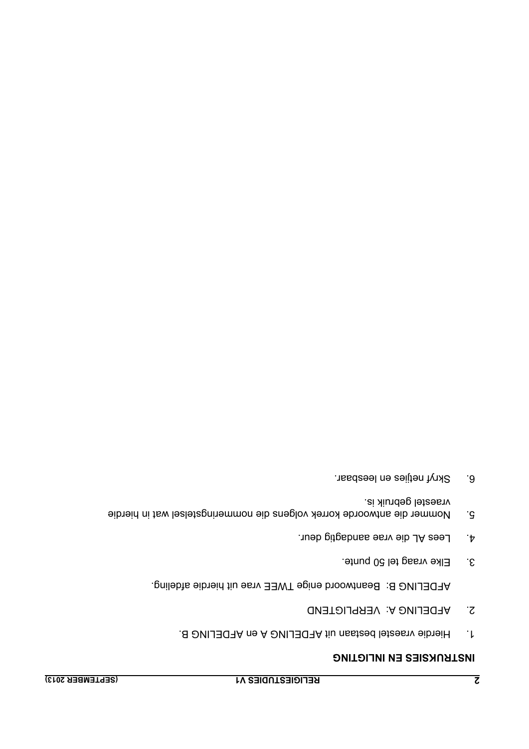- 1. Hierdie vraestel bestaan uit AFDELING A en AFDELING B.
- 2. AFDELING A: VERPLIGTEND

AFDELING B: Beantwoord enige TWEE vrae uit hierdie afdeling.

- 3. Elke vraag tel 50 punte.
- 4. Lees AL die vrae aandagtig deur.
- 5. Nommer die antwoorde korrek volgens die nommeringstelsel wat in hierdie vraestel gebruik is.
- 6. Skryf netjies en leesbaar.